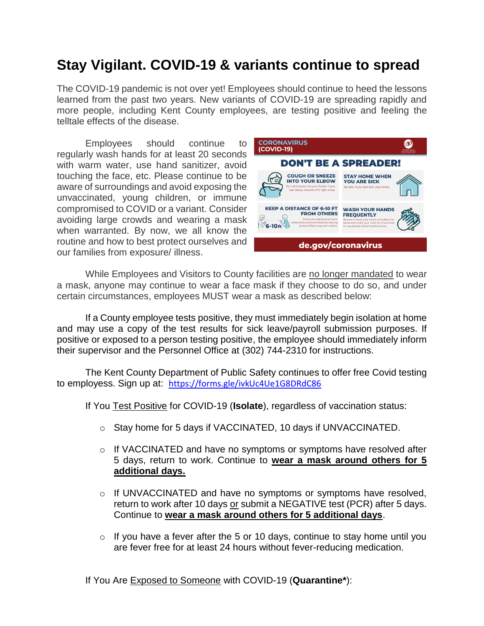# **Stay Vigilant. COVID-19 & variants continue to spread**

The COVID-19 pandemic is not over yet! Employees should continue to heed the lessons learned from the past two years. New variants of COVID-19 are spreading rapidly and more people, including Kent County employees, are testing positive and feeling the telltale effects of the disease.

Employees should continue to regularly wash hands for at least 20 seconds with warm water, use hand sanitizer, avoid touching the face, etc. Please continue to be aware of surroundings and avoid exposing the unvaccinated, young children, or immune compromised to COVID or a variant. Consider avoiding large crowds and wearing a mask when warranted. By now, we all know the routine and how to best protect ourselves and our families from exposure/ illness.



While Employees and Visitors to County facilities are no longer mandated to wear a mask, anyone may continue to wear a face mask if they choose to do so, and under certain circumstances, employees MUST wear a mask as described below:

If a County employee tests positive, they must immediately begin isolation at home and may use a copy of the test results for sick leave/payroll submission purposes. If positive or exposed to a person testing positive, the employee should immediately inform their supervisor and the Personnel Office at (302) 744-2310 for instructions.

The Kent County Department of Public Safety continues to offer free Covid testing to employess. Sign up at: <https://forms.gle/ivkUc4Ue1G8DRdC86>

If You Test Positive for COVID-19 (**Isolate**), regardless of vaccination status:

- o Stay home for 5 days if VACCINATED, 10 days if UNVACCINATED.
- $\circ$  If VACCINATED and have no symptoms or symptoms have resolved after 5 days, return to work. Continue to **wear a mask around others for 5 additional days.**
- $\circ$  If UNVACCINATED and have no symptoms or symptoms have resolved, return to work after 10 days or submit a NEGATIVE test (PCR) after 5 days. Continue to **wear a mask around others for 5 additional days**.
- $\circ$  If you have a fever after the 5 or 10 days, continue to stay home until you are fever free for at least 24 hours without fever-reducing medication.

If You Are Exposed to Someone with COVID-19 (**Quarantine\***):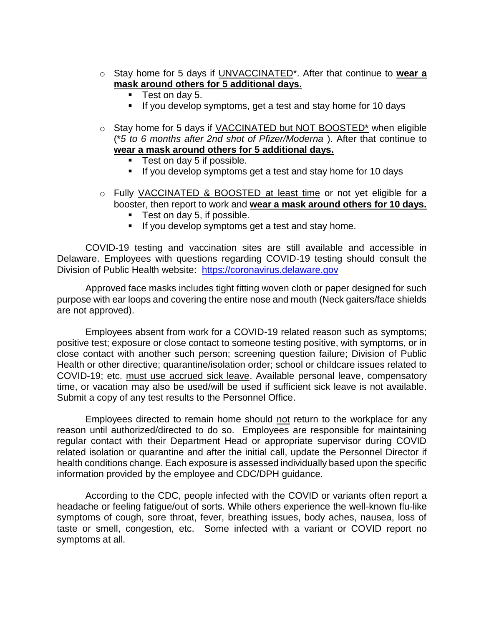- o Stay home for 5 days if UNVACCINATED\*. After that continue to **wear a mask around others for 5 additional days.**
	- **Test on day 5.**
	- If you develop symptoms, get a test and stay home for 10 days
- o Stay home for 5 days if VACCINATED but NOT BOOSTED\* when eligible (\**5 to 6 months after 2nd shot of Pfizer/Moderna* ). After that continue to **wear a mask around others for 5 additional days.**
	- **Test on day 5 if possible.**
	- If you develop symptoms get a test and stay home for 10 days
- o Fully VACCINATED & BOOSTED at least time or not yet eligible for a booster, then report to work and **wear a mask around others for 10 days.**
	- Test on day 5, if possible.
	- If you develop symptoms get a test and stay home.

COVID-19 testing and vaccination sites are still available and accessible in Delaware. Employees with questions regarding COVID-19 testing should consult the Division of Public Health website: [https://coronavirus.delaware.gov](https://coronavirus.delaware.gov/)

Approved face masks includes tight fitting woven cloth or paper designed for such purpose with ear loops and covering the entire nose and mouth (Neck gaiters/face shields are not approved).

Employees absent from work for a COVID-19 related reason such as symptoms; positive test; exposure or close contact to someone testing positive, with symptoms, or in close contact with another such person; screening question failure; Division of Public Health or other directive; quarantine/isolation order; school or childcare issues related to COVID-19; etc. must use accrued sick leave. Available personal leave, compensatory time, or vacation may also be used/will be used if sufficient sick leave is not available. Submit a copy of any test results to the Personnel Office.

Employees directed to remain home should not return to the workplace for any reason until authorized/directed to do so. Employees are responsible for maintaining regular contact with their Department Head or appropriate supervisor during COVID related isolation or quarantine and after the initial call, update the Personnel Director if health conditions change. Each exposure is assessed individually based upon the specific information provided by the employee and CDC/DPH guidance.

According to the CDC, people infected with the COVID or variants often report a headache or feeling fatigue/out of sorts. While others experience the well-known flu-like symptoms of cough, sore throat, fever, breathing issues, body aches, nausea, loss of taste or smell, congestion, etc. Some infected with a variant or COVID report no symptoms at all.